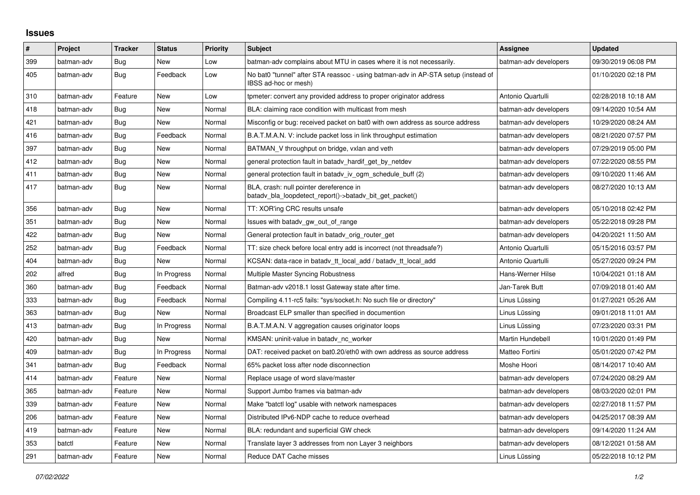## **Issues**

| $\pmb{\sharp}$ | Project    | <b>Tracker</b> | <b>Status</b> | <b>Priority</b> | <b>Subject</b>                                                                                            | <b>Assignee</b>       | <b>Updated</b>      |
|----------------|------------|----------------|---------------|-----------------|-----------------------------------------------------------------------------------------------------------|-----------------------|---------------------|
| 399            | batman-adv | Bug            | New           | Low             | batman-adv complains about MTU in cases where it is not necessarily.                                      | batman-adv developers | 09/30/2019 06:08 PM |
| 405            | batman-adv | Bug            | Feedback      | Low             | No bat0 "tunnel" after STA reassoc - using batman-adv in AP-STA setup (instead of<br>IBSS ad-hoc or mesh) |                       | 01/10/2020 02:18 PM |
| 310            | batman-adv | Feature        | New           | Low             | tpmeter: convert any provided address to proper originator address                                        | Antonio Quartulli     | 02/28/2018 10:18 AM |
| 418            | batman-adv | <b>Bug</b>     | New           | Normal          | BLA: claiming race condition with multicast from mesh                                                     | batman-adv developers | 09/14/2020 10:54 AM |
| 421            | batman-adv | Bug            | <b>New</b>    | Normal          | Misconfig or bug: received packet on bat0 with own address as source address                              | batman-adv developers | 10/29/2020 08:24 AM |
| 416            | batman-adv | Bug            | Feedback      | Normal          | B.A.T.M.A.N. V: include packet loss in link throughput estimation                                         | batman-adv developers | 08/21/2020 07:57 PM |
| 397            | batman-adv | Bug            | New           | Normal          | BATMAN V throughput on bridge, vxlan and veth                                                             | batman-adv developers | 07/29/2019 05:00 PM |
| 412            | batman-adv | Bug            | New           | Normal          | general protection fault in batady hardif get by netdev                                                   | batman-adv developers | 07/22/2020 08:55 PM |
| 411            | batman-adv | Bug            | New           | Normal          | general protection fault in batady iv ogm schedule buff (2)                                               | batman-adv developers | 09/10/2020 11:46 AM |
| 417            | batman-adv | <b>Bug</b>     | New           | Normal          | BLA, crash: null pointer dereference in<br>batady bla loopdetect report()->batady bit get packet()        | batman-adv developers | 08/27/2020 10:13 AM |
| 356            | batman-adv | Bug            | <b>New</b>    | Normal          | TT: XOR'ing CRC results unsafe                                                                            | batman-adv developers | 05/10/2018 02:42 PM |
| 351            | batman-adv | Bug            | New           | Normal          | Issues with batady gw out of range                                                                        | batman-adv developers | 05/22/2018 09:28 PM |
| 422            | batman-adv | Bug            | <b>New</b>    | Normal          | General protection fault in batady orig router get                                                        | batman-adv developers | 04/20/2021 11:50 AM |
| 252            | batman-adv | Bug            | Feedback      | Normal          | TT: size check before local entry add is incorrect (not threadsafe?)                                      | Antonio Quartulli     | 05/15/2016 03:57 PM |
| 404            | batman-adv | <b>Bug</b>     | <b>New</b>    | Normal          | KCSAN: data-race in batadv_tt_local_add / batadv_tt_local_add                                             | Antonio Quartulli     | 05/27/2020 09:24 PM |
| 202            | alfred     | Bug            | In Progress   | Normal          | Multiple Master Syncing Robustness                                                                        | Hans-Werner Hilse     | 10/04/2021 01:18 AM |
| 360            | batman-adv | Bug            | Feedback      | Normal          | Batman-adv v2018.1 losst Gateway state after time.                                                        | Jan-Tarek Butt        | 07/09/2018 01:40 AM |
| 333            | batman-adv | Bug            | Feedback      | Normal          | Compiling 4.11-rc5 fails: "sys/socket.h: No such file or directory"                                       | Linus Lüssing         | 01/27/2021 05:26 AM |
| 363            | batman-adv | Bug            | New           | Normal          | Broadcast ELP smaller than specified in documention                                                       | Linus Lüssing         | 09/01/2018 11:01 AM |
| 413            | batman-adv | Bug            | In Progress   | Normal          | B.A.T.M.A.N. V aggregation causes originator loops                                                        | Linus Lüssing         | 07/23/2020 03:31 PM |
| 420            | batman-adv | Bug            | New           | Normal          | KMSAN: uninit-value in batady nc worker                                                                   | Martin Hundebøll      | 10/01/2020 01:49 PM |
| 409            | batman-adv | Bug            | In Progress   | Normal          | DAT: received packet on bat0.20/eth0 with own address as source address                                   | Matteo Fortini        | 05/01/2020 07:42 PM |
| 341            | batman-adv | Bug            | Feedback      | Normal          | 65% packet loss after node disconnection                                                                  | Moshe Hoori           | 08/14/2017 10:40 AM |
| 414            | batman-adv | Feature        | <b>New</b>    | Normal          | Replace usage of word slave/master                                                                        | batman-adv developers | 07/24/2020 08:29 AM |
| 365            | batman-adv | Feature        | New           | Normal          | Support Jumbo frames via batman-adv                                                                       | batman-adv developers | 08/03/2020 02:01 PM |
| 339            | batman-adv | Feature        | New           | Normal          | Make "batctl log" usable with network namespaces                                                          | batman-adv developers | 02/27/2018 11:57 PM |
| 206            | batman-adv | Feature        | New           | Normal          | Distributed IPv6-NDP cache to reduce overhead                                                             | batman-adv developers | 04/25/2017 08:39 AM |
| 419            | batman-adv | Feature        | New           | Normal          | BLA: redundant and superficial GW check                                                                   | batman-adv developers | 09/14/2020 11:24 AM |
| 353            | batctl     | Feature        | <b>New</b>    | Normal          | Translate layer 3 addresses from non Layer 3 neighbors                                                    | batman-adv developers | 08/12/2021 01:58 AM |
| 291            | batman-adv | Feature        | New           | Normal          | Reduce DAT Cache misses                                                                                   | Linus Lüssing         | 05/22/2018 10:12 PM |